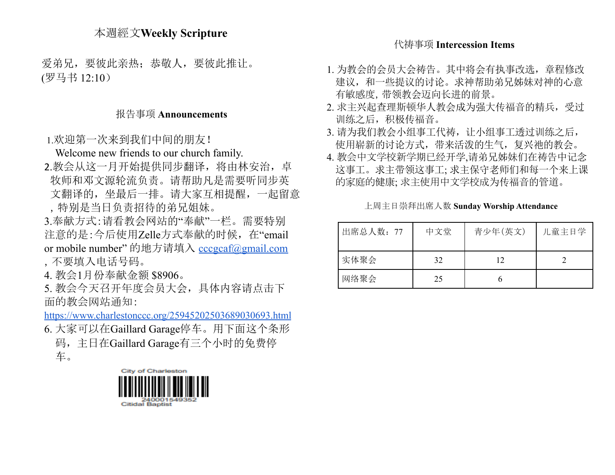## 本週經文**Weekly Scripture**

爱弟兄,要彼此亲热:恭敬人,要彼此推让。 (罗马书 12:10)

## 报告事项 **Announcements**

1.欢迎第一次来到我们中间的朋友!

Welcome new friends to our church family.

- 2.教会从这一月开始提供同步翻译, 将由林安治, 卓 牧师和邓文源轮流负责。请帮助凡是需要听同步英 文翻译的,坐最后一排。请大家互相提醒,一起留意
	- ,特别是当日负责招待的弟兄姐妹。
- 3.奉献方式:请看教会网站的"奉献"一栏。需要特别 注意的是:今后使用Zelle方式奉献的时候,在"email or mobile number" 的地方请填入 [cccgcaf@gmail.com](mailto:cccgcaf@gmail.com) ,不要填入电话号码。
- 4. 教会1月份奉献金额 \$8906。

5. 教会今天召开年度会员大会,具体内容请点击下 面的教会网站通知:

<https://www.charlestonccc.org/25945202503689030693.html>

- 6. 大家可以在Gaillard Garage停车。用下面这个条形 码,主日在Gaillard Garage有三个小时的免费停 车。
	- City of Charleston Citidal Baptist

#### 代祷事项 **Intercession Items**

- 1. 为教会的会员大会祷告。其中将会有执事改选,章程修改 建议,和一些提议的讨论。求神帮助弟兄姊妹对神的心意 有敏感度,带领教会迈向长进的前景。
- 2. 求主兴起查理斯顿华人教会成为强大传福音的精兵,受过 训练之后,积极传福音。
- 3. 请为我们教会小组事工代祷, 让小组事工透过训练之后, 使用崭新的讨论方式,带来活泼的生气,复兴祂的教会。
- 4. 教会中文学校新学期已经开学,请弟兄姊妹们在祷告中记念 这事工。求主带领这事工; 求主保守老师们和每一个来上课 的家庭的健康; 求主使用中文学校成为传福音的管道。

上周主日崇拜出席人数 **Sunday Worship Attendance**

| 出席总人数: 77 | 中文堂 | 青少年(英文) | 儿童主日学 |
|-----------|-----|---------|-------|
| 实体聚会      | 32  | 12      |       |
| 网络聚会      | 25  |         |       |